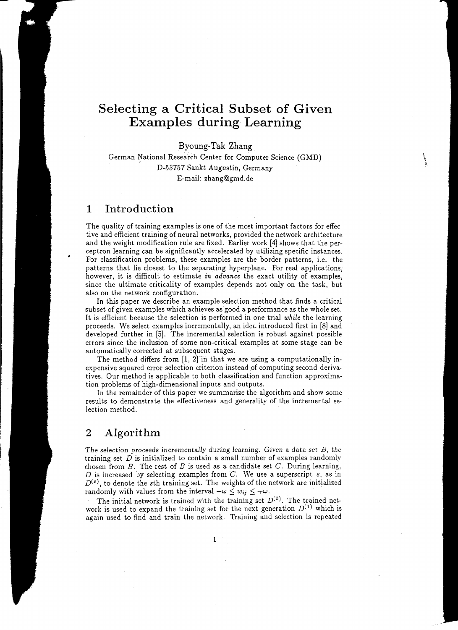# **Selecting a Critical Subset of Given Examples during Learning**

Byoung-Tak Zhang

German National Research Center for Computer Science (GMD) D-53757 Sankt Augustin, Germany E-mail: zhang@gmd.de

## **1 Introduction**

The quality of training examples is one of the most important factors for effective and efficient training of neural networks, provided the network architecture and the weight modification rule are fixed. Earlier work [4] shows that the perceptron learning can be significantly accelerated by utilizing specific instances. For classification problems, these examples are the border patterns, i.e. the patterns that lie closest to the separating hyperplane. For real applications, however, it is difficult to estimate *in advance* the exact utility of examples, since the ultimate criticality of examples depends not only on the task, but also on the network configuration.

In this paper we describe an example selection method that finds a critical subset of given examples which achieves as good a performance as the whole set. It is efficient because the selection is performed in one trial *while* the learning proceeds. We select examples incrementally, an idea introduced first in [8] and developed further in [5]. The incremental selection is robust against possible errors since the inclusion of some non-critical examples at some stage can be automatically corrected at subsequent stages.

The method differs from  $[1, 2]$  in that we are using a computationally inexpensive squared error selection criterion instead of computing second derivatives. Our method is applicable to both classification and function approximation problems of high-dimensional inputs and outputs.

In the remainder of this paper we summarize the algorithm and show some results to demonstrate the effectiveness and generality of the incremental selection method.

### **2 Algorithm**

The selection proceeds incrementally during learning. Given a data *set B, the*  training set  $D$  is initialized to contain a small number of examples randomly chosen from *B.* The rest of *B* is used as a candidate set *C.* During learning, D is increased by selecting examples from  $C$ . We use a superscript  $s$ , as in  $D^{(s)}$ , to denote the sth training set. The weights of the network are initialized randomly with values from the interval  $-\omega \leq w_{ij} \leq +\omega$ .

The initial network is trained with the training set  $D^{(0)}$ . The trained network is used to expand the training set for the next generation  $D^{(1)}$  which is again used to find and train the network. Training and selection is repeated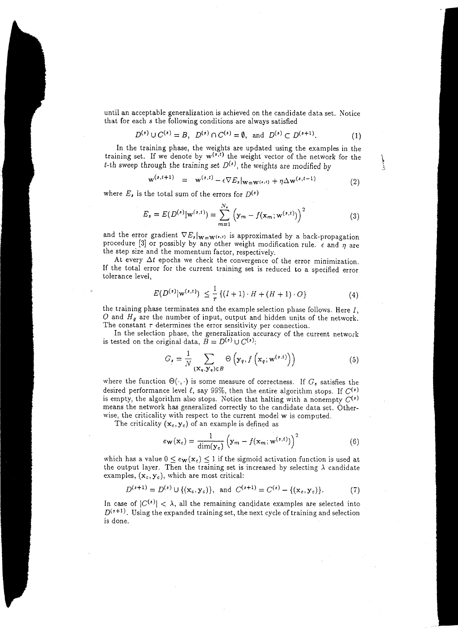until an acceptable generalization is achieved on the candidate data set. Notice that for each *s* the following conditions are always satisfied

$$
D^{(s)} \cup C^{(s)} = B, \ D^{(s)} \cap C^{(s)} = \emptyset, \text{ and } D^{(s)} \subset D^{(s+1)}.
$$
 (1)

In the training phase, the weights are updated using the examples in the training set. If we denote by  $w^{(s,t)}$  the weight vector of the network for the t-th sweep through the training set  $D^{(s)}$ , the weights are modified by

$$
\mathbf{w}^{(s,t+1)} = \mathbf{w}^{(s,t)} - \epsilon \nabla E_s|_{\mathbf{W} = \mathbf{W}^{(s,t)}} + \eta \Delta \mathbf{w}^{(s,t-1)}
$$
(2)

where  $E_s$  is the total sum of the errors for  $D^{(s)}$ 

$$
E_s = E(D^{(s)} | \mathbf{w}^{(s,t)}) = \sum_{m=1}^{N_s} \left( \mathbf{y}_m - f(\mathbf{x}_m; \mathbf{w}^{(s,t)}) \right)^2
$$
(3)

and the error gradient  $\nabla E_s|_{\mathbf{W}=\mathbf{W}^{(r,t)}}$  is approximated by a back-propagation procedure [3] or possibly by any other weight modification rule.  $\epsilon$  and  $\eta$  are the step size and the momentum factor, respectively.

At every  $\Delta t$  epochs we check the convergence of the error minimization. If the total error for the current training set is reduced to a specified error tolerance level,

$$
E(D^{(s)}|w^{(s,t)}) \leq \frac{1}{\tau} \{ (I+1) \cdot H + (H+1) \cdot O \}
$$
 (4)

the training phase terminates and the example selection phase follows. Here *I,*   $O$  and  $H_g$  are the number of input, output and hidden units of the network. The constant  $\tau$  determines the error sensitivity per connection.

In the selection phase, the generalization accuracy of the current network is tested on the original data,  $\overline{B} = D^{(s)} \cup C^{(s)}$ :

$$
G_s = \frac{1}{N} \sum_{\left(\mathbf{x}_q, \mathbf{y}_q\right) \in B} \Theta\left(\mathbf{y}_q, f\left(\mathbf{x}_q; \mathbf{w}^{(s,t)}\right)\right) \tag{5}
$$

where the function  $\Theta(\cdot, \cdot)$  is some measure of correctness. If  $G_s$  satisfies the desired performance level  $\ell$ , say 99%, then the entire algorithm stops. If  $C^{(s)}$ is empty, the algorithm also stops. Notice that halting with a nonempty  $C^{(s)}$ means the network has generalized correctly to the candidate data set. Otherwise, the criticality with respect to the current model w is computed.

The criticality  $(x_c, y_c)$  of an example is defined as

$$
e_{\mathbf{W}}(\mathbf{x}_c) = \frac{1}{\dim(\mathbf{y}_c)} \left( \mathbf{y}_m - f(\mathbf{x}_m; \mathbf{w}^{(s,t)}) \right)^2 \tag{6}
$$

which has a value  $0 \leq e_{\mathbf{W}}(\mathbf{x}_c) \leq 1$  if the sigmoid activation function is used at the output layer. Then the training set is increased by selecting  $\lambda$  candidate examples,  $(x_c, y_c)$ , which are most critical:

$$
D^{(s+1)} = D^{(s)} \cup \{(\mathbf{x}_c, \mathbf{y}_c)\}, \text{ and } C^{(s+1)} = C^{(s)} - \{(\mathbf{x}_c, \mathbf{y}_c)\}.
$$
 (7)

In case of  $|C^{(s)}| < \lambda$ , all the remaining candidate examples are selected into  $D^{(s+1)}$ . Using the expanded training set, the next cycle of training and selection is done.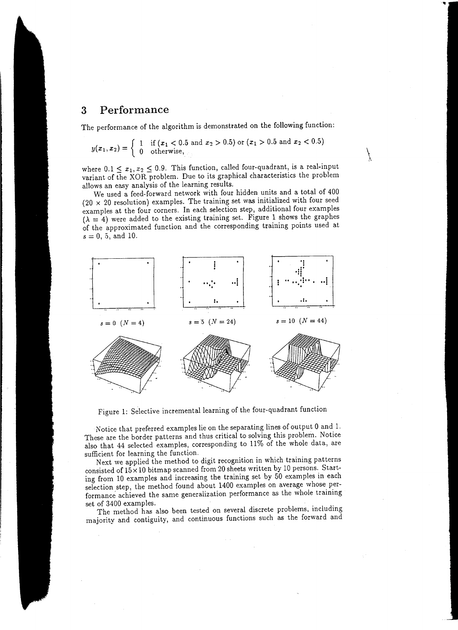## **3 Performance**

The performance of the algorithm is demonstrated on the following function:

$$
y(x_1, x_2) = \begin{cases} 1 & \text{if } (x_1 < 0.5 \text{ and } x_2 > 0.5) \text{ or } (x_1 > 0.5 \text{ and } x_2 < 0.5) \\ 0 & \text{otherwise, } \end{cases}
$$

where  $0.1 \leq x_1, x_2 \leq 0.9$ . This function, called four-quadrant, is a real-input variant of the XOR problem. Due to its graphical characteristics the problem allows an easy analysis of the learning results.

 $\frac{y}{r}$ 

We used a feed-forward network with four hidden units and a total of 400  $(20 \times 20$  resolution) examples. The training set was initialized with four seed examples at the four corners. In each selection step, additional four examples  $(\lambda = 4)$  were added to the existing training set. Figure 1 shows the graphes of the approximated function and the corresponding training points used at  $s = 0, 5,$  and 10.



Figure 1: Selective incremental learning of the four-quadrant function

Notice that preferred examples lie on the separating lines of output 0 and 1. These are the border patterns and thus critical to solving this problem. Notice also that 44 selected examples, corresponding to 11% of the whole data, are sufficient for learning the function.

Next we applied the method to digit recognition in which training patterns consisted of  $15 \times 10$  bitmap scanned from 20 sheets written by 10 persons. Starting from 10 examples and increasing the training set by 50 examples in each selection step, the method found about 1400 examples on average whose performance achieved the same generalization performance as the whole training

set of 3400 examples. The method has also been tested on several discrete problems, including majority and contiguity, and continuous functions such as the forward and